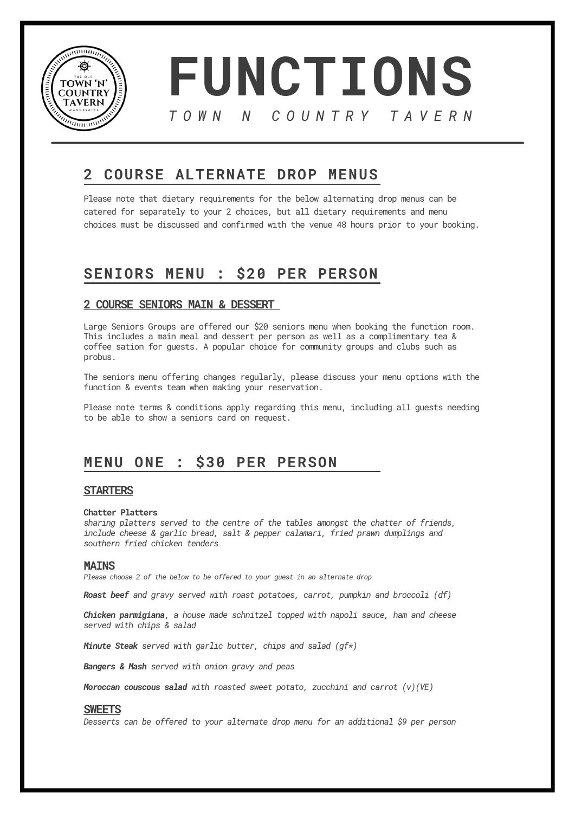

**FUNCTIONS** *T O W N N C O U N T R Y T A V E R N*

# **2 COURSE ALTERNATE DROP MENUS**

Please note that dietary requirements for the below alternating drop menus can be catered for separately to your 2 choices, but all dietary requirements and menu choices must be discussed and confirmed with the venue 48 hours prior to your booking.

# **SENIORS MENU : \$20 PER PERSON**

## **2 COURSE SENIORS MAIN & DESSERT**

Large Seniors Groups are offered our \$20 seniors menu when booking the function room. This includes a main meal and dessert per person as well as a complimentary tea & coffee sation for guests. A popular choice for community groups and clubs such as probus.

The seniors menu offering changes regularly, please discuss your menu options with the function & events team when making your reservation.

Please note terms & conditions apply regarding this menu, including all guests needing to be able to show a seniors card on request.

# **MENU ONE : \$30 PER PERSON**

## **STARTERS**

## **Chatter Platters**

*sharing platters served to the centre of the tables amongst the chatter of friends, include cheese & garlic bread, salt & pepper calamari, fried prawn dumplings and southern fried chicken tenders*

## **MAINS**

*Please choose 2 of the below to be offered to your guest in an alternate drop*

*Roast beef and gravy served with roast potatoes, carrot, pumpkin and broccoli (df)*

*Chicken parmigiana*, *a house made schnitzel topped with napoli sauce, ham and cheese served with chips & salad*

*Minute Steak served with garlic butter, chips and salad (gf\*)*

*Bangers & Mash served with onion gravy and peas*

*Moroccan couscous salad with roasted sweet potato, zucchini and carrot (v)(VE)*

## **SWEETS**

*Desserts can be offered to your alternate drop menu for an additional \$9 per person*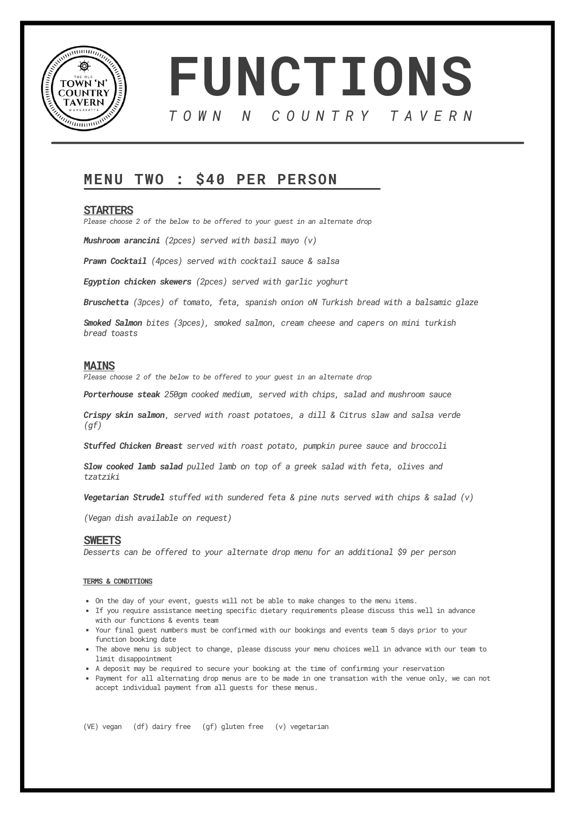



# **MENU TWO : \$40 PER PERSON**

### **STARTERS**

*Please choose 2 of the below to be offered to your guest in an alternate drop*

*Mushroom arancini (2pces) served with basil mayo (v)*

*Prawn Cocktail (4pces) served with cocktail sauce & salsa*

*Egyption chicken skewers (2pces) served with garlic yoghurt*

*Bruschetta (3pces) of tomato, feta, spanish onion oN Turkish bread with a balsamic glaze*

*Smoked Salmon bites (3pces), smoked salmon, cream cheese and capers on mini turkish bread toasts*

### **MAINS**

*Please choose 2 of the below to be offered to your guest in an alternate drop*

*Porterhouse steak 250gm cooked medium, served with chips, salad and mushroom sauce*

*Crispy skin salmon*, *served with roast potatoes, a dill & Citrus slaw and salsa verde (gf)*

*Stuffed Chicken Breast served with roast potato, pumpkin puree sauce and broccoli*

*Slow cooked lamb salad pulled lamb on top of a greek salad with feta, olives and tzatziki*

*Vegetarian Strudel stuffed with sundered feta & pine nuts served with chips & salad (v)*

*(Vegan dish available on request)*

### **SWEETS**

*Desserts can be offered to your alternate drop menu for an additional \$9 per person*

#### **TERMS & CONDITIONS**

- On the day of your event, guests will not be able to make changes to the menu items.
- If you require assistance meeting specific dietary requirements please discuss this well in advance with our functions & events team
- Your final guest numbers must be confirmed with our bookings and events team 5 days prior to your function booking date
- The above menu is subject to change, please discuss your menu choices well in advance with our team to limit disappointment
- A deposit may be required to secure your booking at the time of confirming your reservation
- Payment for all alternating drop menus are to be made in one transation with the venue only, we can not accept individual payment from all guests for these menus.

(VE) vegan (df) dairy free (gf) gluten free (v) vegetarian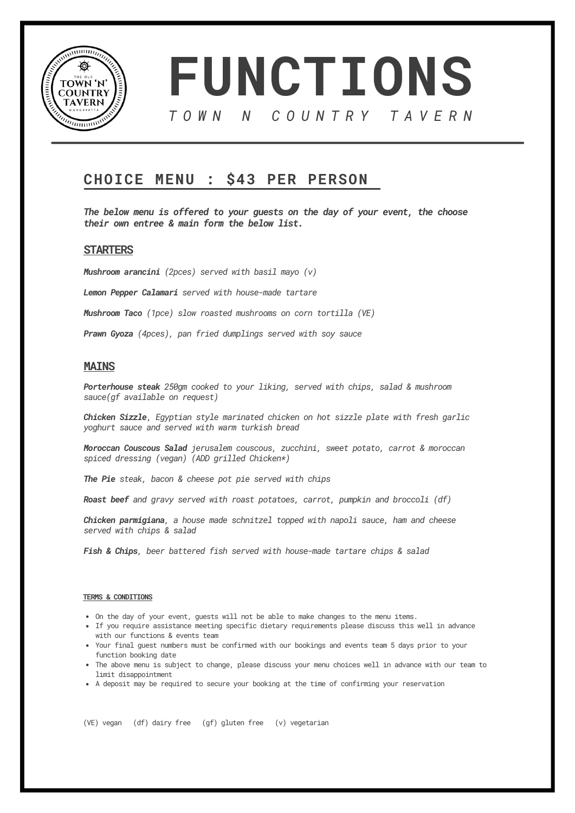



## **CHOICE MENU : \$43 PER PERSON**

*The below menu is offered to your guests on the day of your event, the choose their own entree & main form the below list.*

## **STARTERS**

*Mushroom arancini (2pces) served with basil mayo (v)*

*Lemon Pepper Calamari served with house-made tartare*

*Mushroom Taco (1pce) slow roasted mushrooms on corn tortilla (VE)*

*Prawn Gyoza (4pces), pan fried dumplings served with soy sauce*

## **MAINS**

*Porterhouse steak 250gm cooked to your liking, served with chips, salad & mushroom sauce(gf available on request)*

*Chicken Sizzle*, *Egyptian style marinated chicken on hot sizzle plate with fresh garlic yoghurt sauce and served with warm turkish bread*

*Moroccan Couscous Salad jerusalem couscous, zucchini, sweet potato, carrot & moroccan spiced dressing (vegan) (ADD grilled Chicken\*)*

*The Pie steak, bacon & cheese pot pie served with chips*

*Roast beef and gravy served with roast potatoes, carrot, pumpkin and broccoli (df)*

*Chicken parmigiana, a house made schnitzel topped with napoli sauce, ham and cheese served with chips & salad*

*Fish & Chips, beer battered fish served with house-made tartare chips & salad*

#### **TERMS & CONDITIONS**

- On the day of your event, guests will not be able to make changes to the menu items.
- If you require assistance meeting specific dietary requirements please discuss this well in advance with our functions & events team
- Your final guest numbers must be confirmed with our bookings and events team 5 days prior to your function booking date
- The above menu is subject to change, please discuss your menu choices well in advance with our team to limit disappointment
- A deposit may be required to secure your booking at the time of confirming your reservation

(VE) vegan (df) dairy free (gf) gluten free (v) vegetarian